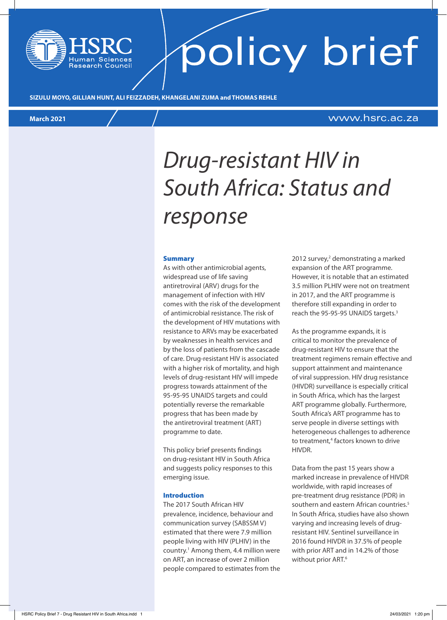# policy brief

**SIZULU MOYO, GILLIAN HUNT, ALI FEIZZADEH, KHANGELANI ZUMA and THOMAS REHLE**

esearch Council

#### **March 2021** www.hsrc.ac.za

### *Drug-resistant HIV in South Africa: Status and response*

#### Summary

As with other antimicrobial agents, widespread use of life saving antiretroviral (ARV) drugs for the management of infection with HIV comes with the risk of the development of antimicrobial resistance. The risk of the development of HIV mutations with resistance to ARVs may be exacerbated by weaknesses in health services and by the loss of patients from the cascade of care. Drug-resistant HIV is associated with a higher risk of mortality, and high levels of drug-resistant HIV will impede progress towards attainment of the 95-95-95 UNAIDS targets and could potentially reverse the remarkable progress that has been made by the antiretroviral treatment (ART) programme to date.

This policy brief presents findings on drug-resistant HIV in South Africa and suggests policy responses to this emerging issue.

#### Introduction

The 2017 South African HIV prevalence, incidence, behaviour and communication survey (SABSSM V) estimated that there were 7.9 million people living with HIV (PLHIV) in the country.<sup>1</sup> Among them, 4.4 million were on ART, an increase of over 2 million people compared to estimates from the

2012 survey,<sup>2</sup> demonstrating a marked expansion of the ART programme. However, it is notable that an estimated 3.5 million PLHIV were not on treatment in 2017, and the ART programme is therefore still expanding in order to reach the 95-95-95 UNAIDS targets.<sup>3</sup>

As the programme expands, it is critical to monitor the prevalence of drug-resistant HIV to ensure that the treatment regimens remain effective and support attainment and maintenance of viral suppression. HIV drug resistance (HIVDR) surveillance is especially critical in South Africa, which has the largest ART programme globally. Furthermore, South Africa's ART programme has to serve people in diverse settings with heterogeneous challenges to adherence to treatment,<sup>4</sup> factors known to drive HIVDR.

Data from the past 15 years show a marked increase in prevalence of HIVDR worldwide, with rapid increases of pre-treatment drug resistance (PDR) in southern and eastern African countries.<sup>5</sup> In South Africa, studies have also shown varying and increasing levels of drugresistant HIV. Sentinel surveillance in 2016 found HIVDR in 37.5% of people with prior ART and in 14.2% of those without prior ART.<sup>6</sup>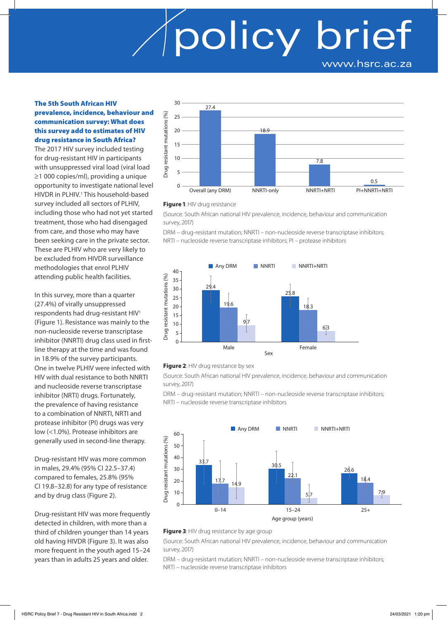## policy brief www.hsrc.ac.za

#### The 5th South African HIV prevalence, incidence, behaviour and communication survey: What does this survey add to estimates of HIV drug resistance in South Africa?

The 2017 HIV survey included testing for drug-resistant HIV in participants with unsuppressed viral load (viral load ≥1 000 copies/ml), providing a unique opportunity to investigate national level HIVDR in PLHIV.<sup>1</sup> This household-based survey included all sectors of PLHIV, including those who had not yet started treatment, those who had disengaged from care, and those who may have been seeking care in the private sector. These are PLHIV who are very likely to be excluded from HIVDR surveillance methodologies that enrol PLHIV attending public health facilities.

In this survey, more than a quarter (27.4%) of virally unsuppressed respondents had drug-resistant HIV1 (Figure 1). Resistance was mainly to the non-nucleoside reverse transcriptase inhibitor (NNRTI) drug class used in firstline therapy at the time and was found in 18.9% of the survey participants. One in twelve PLHIV were infected with HIV with dual resistance to both NNRTI and nucleoside reverse transcriptase inhibitor (NRTI) drugs. Fortunately, the prevalence of having resistance to a combination of NNRTI, NRTI and protease inhibitor (PI) drugs was very low (<1.0%). Protease inhibitors are generally used in second-line therapy.

Drug-resistant HIV was more common in males, 29.4% (95% CI 22.5–37.4) compared to females, 25.8% (95% CI 19.8–32.8) for any type of resistance and by drug class (Figure 2).

Drug-resistant HIV was more frequently detected in children, with more than a third of children younger than 14 years old having HIVDR (Figure 3). It was also more frequent in the youth aged 15–24 years than in adults 25 years and older.



#### **Figure 1**: HIV drug resistance

(Source: South African national HIV prevalence, incidence, behaviour and communication survey, 2017)

DRM – drug-resistant mutation; NNRTI – non-nucleoside reverse transcriptase inhibitors; NRTI – nucleoside reverse transcriptase inhibitors; PI – protease inhibitors





(Source: South African national HIV prevalence, incidence, behaviour and communication survey, 2017)

DRM – drug-resistant mutation; NNRTI – non-nucleoside reverse transcriptase inhibitors; NRTI – nucleoside reverse transcriptase inhibitors



#### **Figure 3: HIV drug resistance by age group**

(Source: South African national HIV prevalence, incidence, behaviour and communication survey, 2017)

DRM – drug-resistant mutation; NNRTI – non-nucleoside reverse transcriptase inhibitors; NRTI – nucleoside reverse transcriptase inhibitors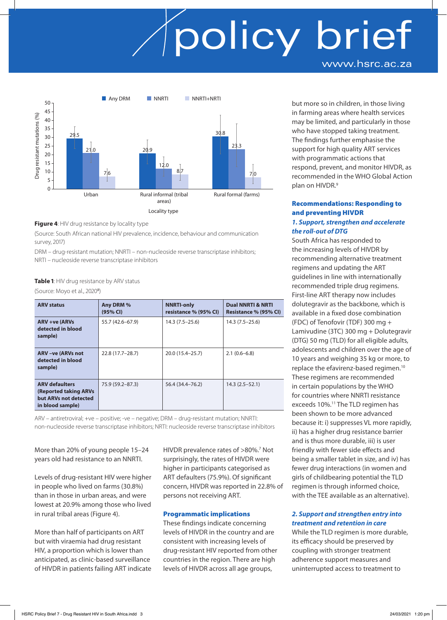### policy brief www.hsrc.ac.za



#### **Figure 4**: HIV drug resistance by locality type

(Source: South African national HIV prevalence, incidence, behaviour and communication survey, 2017)

DRM – drug-resistant mutation; NNRTI – non-nucleoside reverse transcriptase inhibitors; NRTI – nucleoside reverse transcriptase inhibitors

#### **Table 1**: HIV drug resistance by ARV status

(Source: Moyo et al., 2020<sup>8</sup>)

| <b>ARV status</b>                                                                                   | Any DRM %<br>(95% CI) | <b>NNRTI-only</b><br>resistance % (95% CI) | <b>Dual NNRTI &amp; NRTI</b><br>Resistance % (95% CI) |
|-----------------------------------------------------------------------------------------------------|-----------------------|--------------------------------------------|-------------------------------------------------------|
| <b>ARV +ve (ARVs</b><br>detected in blood<br>sample)                                                | 55.7 (42.6–67.9)      | $14.3(7.5-25.6)$                           | $14.3(7.5-25.6)$                                      |
| <b>ARV-ve (ARVs not</b><br>detected in blood<br>sample)                                             | 22.8 (17.7-28.7)      | 20.0 (15.4 - 25.7)                         | $2.1(0.6-6.8)$                                        |
| <b>ARV defaulters</b><br><b>(Reported taking ARVs)</b><br>but ARVs not detected<br>in blood sample) | 75.9 (59.2-87.3)      | 56.4 (34.4–76.2)                           | $14.3(2.5-52.1)$                                      |

ARV – antiretroviral; +ve – positive; -ve – negative; DRM – drug-resistant mutation; NNRTI: non-nucleoside reverse transcriptase inhibitors; NRTI: nucleoside reverse transcriptase inhibitors

More than 20% of young people 15–24 years old had resistance to an NNRTI.

Levels of drug-resistant HIV were higher in people who lived on farms (30.8%) than in those in urban areas, and were lowest at 20.9% among those who lived in rural tribal areas (Figure 4).

More than half of participants on ART but with viraemia had drug resistant HIV, a proportion which is lower than anticipated, as clinic-based surveillance of HIVDR in patients failing ART indicate

HIVDR prevalence rates of >80%.<sup>7</sup> Not surprisingly, the rates of HIVDR were higher in participants categorised as ART defaulters (75.9%). Of significant concern, HIVDR was reported in 22.8% of persons not receiving ART.

#### Programmatic implications

These findings indicate concerning levels of HIVDR in the country and are consistent with increasing levels of drug-resistant HIV reported from other countries in the region. There are high levels of HIVDR across all age groups,

but more so in children, in those living in farming areas where health services may be limited, and particularly in those who have stopped taking treatment. The findings further emphasise the support for high quality ART services with programmatic actions that respond, prevent, and monitor HIVDR, as recommended in the WHO Global Action plan on HIVDR.<sup>9</sup>

#### Recommendations: Responding to and preventing HIVDR *1. Support, strengthen and accelerate the roll-out of DTG*

South Africa has responded to the increasing levels of HIVDR by recommending alternative treatment regimens and updating the ART guidelines in line with internationally recommended triple drug regimens. First-line ART therapy now includes dolutegravir as the backbone, which is available in a fixed dose combination (FDC) of Tenofovir (TDF) 300 mg + Lamivudine (3TC) 300 mg + Dolutegravir (DTG) 50 mg (TLD) for all eligible adults, adolescents and children over the age of 10 years and weighing 35 kg or more, to replace the efavirenz-based regimen.10 These regimens are recommended in certain populations by the WHO for countries where NNRTI resistance exceeds 10%.<sup>11</sup> The TLD regimen has been shown to be more advanced because it: i) suppresses VL more rapidly, ii) has a higher drug resistance barrier and is thus more durable, iii) is user friendly with fewer side effects and being a smaller tablet in size, and iv) has fewer drug interactions (in women and girls of childbearing potential the TLD regimen is through informed choice, with the TEE available as an alternative).

#### *2. Support and strengthen entry into treatment and retention in care*

While the TLD regimen is more durable, its efficacy should be preserved by coupling with stronger treatment adherence support measures and uninterrupted access to treatment to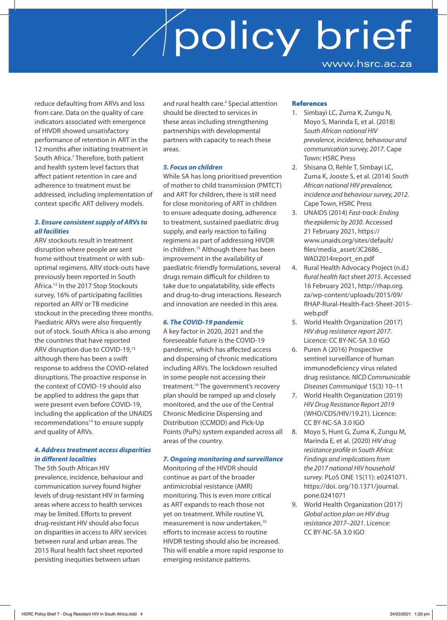### policy brief www.hsrc.ac.za

reduce defaulting from ARVs and loss from care. Data on the quality of care indicators associated with emergence of HIVDR showed unsatisfactory performance of retention in ART in the 12 months after initiating treatment in South Africa.<sup>7</sup> Therefore, both patient and health system level factors that affect patient retention in care and adherence to treatment must be addressed, including implementation of context specific ART delivery models.

#### *3. Ensure consistent supply of ARVs to all facilities*

ARV stockouts result in treatment disruption where people are sent home without treatment or with suboptimal regimens. ARV stock-outs have previously been reported in South Africa.12 In the 2017 Stop Stockouts survey, 16% of participating facilities reported an ARV or TB medicine stockout in the preceding three months. Paediatric ARVs were also frequently out of stock. South Africa is also among the countries that have reported ARV disruption due to COVID-19,13 although there has been a swift response to address the COVID-related disruptions. The proactive response in the context of COVID-19 should also be applied to address the gaps that were present even before COVID-19, including the application of the UNAIDS recommendations<sup>14</sup> to ensure supply and quality of ARVs.

#### *4. Address treatment access disparities in different localities*

The 5th South African HIV prevalence, incidence, behaviour and communication survey found higher levels of drug-resistant HIV in farming areas where access to health services may be limited. Efforts to prevent drug-resistant HIV should also focus on disparities in access to ARV services between rural and urban areas. The 2015 Rural health fact sheet reported persisting inequities between urban

and rural health care.<sup>4</sup> Special attention should be directed to services in these areas including strengthening partnerships with developmental partners with capacity to reach these areas.

#### *5. Focus on children*

While SA has long prioritised prevention of mother to child transmission (PMTCT) and ART for children, there is still need for close monitoring of ART in children to ensure adequate dosing, adherence to treatment, sustained paediatric drug supply, and early reaction to failing regimens as part of addressing HIVDR in children.<sup>15</sup> Although there has been improvement in the availability of paediatric-friendly formulations, several drugs remain difficult for children to take due to unpalatability, side effects and drug-to-drug interactions. Research and innovation are needed in this area.

### *6. The COVID-19 pandemic*

A key factor in 2020, 2021 and the foreseeable future is the COVID-19 pandemic, which has affected access and dispensing of chronic medications including ARVs. The lockdown resulted in some people not accessing their treatment.16 The government's recovery plan should be ramped up and closely monitored, and the use of the Central Chronic Medicine Dispensing and Distribution (CCMDD) and Pick-Up Points (PuPs) system expanded across all areas of the country.

### *7. Ongoing monitoring and surveillance*

Monitoring of the HIVDR should continue as part of the broader antimicrobial resistance (AMR) monitoring. This is even more critical as ART expands to reach those not yet on treatment. While routine VL measurement is now undertaken,<sup>10</sup> efforts to increase access to routine HIVDR testing should also be increased. This will enable a more rapid response to emerging resistance patterns.

#### **References**

- 1. Simbayi LC, Zuma K, Zungu N, Moyo S, Marinda E, et al. (2018) *South African national HIV prevalence, incidence, behaviour and communication survey, 2017*. Cape Town: HSRC Press
- 2. Shisana O, Rehle T, Simbayi LC, Zuma K, Jooste S, et al. (2014) *South African national HIV prevalence, incidence and behaviour survey, 2012*. Cape Town, HSRC Press
- 3. UNAIDS (2014) *Fast-track: Ending the epidemic by 2030*. Accessed 21 February 2021, https:// www.unaids.org/sites/default/ files/media\_asset/JC2686\_ WAD2014report\_en.pdf
- 4. Rural Health Advocacy Project (n.d.) *Rural health fact sheet 2015*. Accessed 16 February 2021, http://rhap.org. za/wp-content/uploads/2015/09/ RHAP-Rural-Health-Fact-Sheet-2015 web.pdf
- 5. World Health Organization (2017) *HIV drug resistance report 2017*. Licence: CC BY-NC-SA 3.0 IGO
- 6. Puren A (2016) Prospective sentinel surveillance of human immunodeficiency virus related drug resistance. *NICD Communicable Diseases Communiqué* 15(3) 10–11
- 7. World Health Organization (2019) *HIV Drug Resistance Report 2019* (WHO/CDS/HIV/19.21). Licence: CC BY-NC-SA 3.0 IGO
- 8. Moyo S, Hunt G, Zuma K, Zungu M, Marinda E, et al. (2020) *HIV drug resistance profile in South Africa: Findings and implications from the 2017 national HIV household survey*. PLoS ONE 15(11): e0241071. https://doi. org/10.1371/journal. pone.0241071
- 9. World Health Organization (2017) *Global action plan on HIV drug resistance 2017–2021*. Licence: CC BY-NC-SA 3.0 IGO